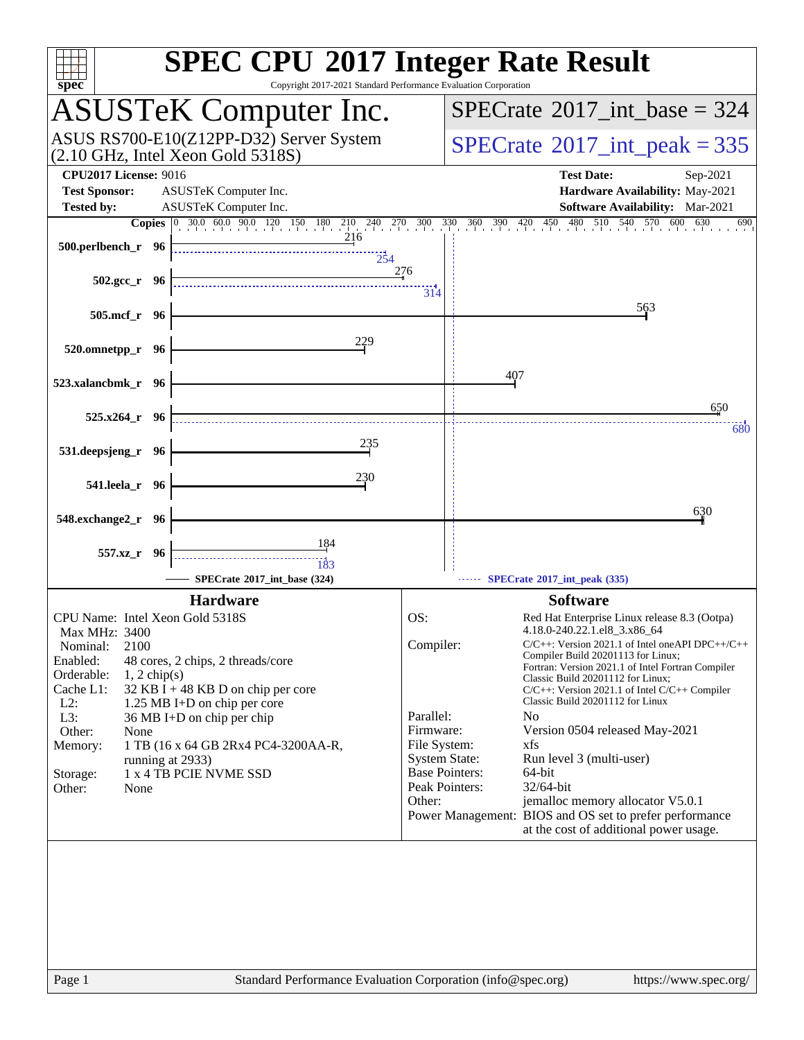| spec <sup>®</sup>                                                                                                                                                                                                                                                                                                                                                                                                                         | <b>SPEC CPU®2017 Integer Rate Result</b><br>Copyright 2017-2021 Standard Performance Evaluation Corporation                                                                                                                                                                                                                                                                                                                                                                                                                                                                                                                                                                                                                                                     |
|-------------------------------------------------------------------------------------------------------------------------------------------------------------------------------------------------------------------------------------------------------------------------------------------------------------------------------------------------------------------------------------------------------------------------------------------|-----------------------------------------------------------------------------------------------------------------------------------------------------------------------------------------------------------------------------------------------------------------------------------------------------------------------------------------------------------------------------------------------------------------------------------------------------------------------------------------------------------------------------------------------------------------------------------------------------------------------------------------------------------------------------------------------------------------------------------------------------------------|
| <b>ASUSTeK Computer Inc.</b>                                                                                                                                                                                                                                                                                                                                                                                                              | $SPECrate^{\circledast}2017$ int base = 324                                                                                                                                                                                                                                                                                                                                                                                                                                                                                                                                                                                                                                                                                                                     |
| ASUS RS700-E10(Z12PP-D32) Server System<br>$(2.10 \text{ GHz}, \text{Intel Xeon Gold } 5318S)$                                                                                                                                                                                                                                                                                                                                            | $SPECTate$ <sup>®</sup> 2017_int_peak = 335                                                                                                                                                                                                                                                                                                                                                                                                                                                                                                                                                                                                                                                                                                                     |
| <b>CPU2017 License: 9016</b><br><b>Test Sponsor:</b><br>ASUSTeK Computer Inc.                                                                                                                                                                                                                                                                                                                                                             | <b>Test Date:</b><br>Sep-2021<br>Hardware Availability: May-2021                                                                                                                                                                                                                                                                                                                                                                                                                                                                                                                                                                                                                                                                                                |
| <b>Tested by:</b><br>ASUSTeK Computer Inc.                                                                                                                                                                                                                                                                                                                                                                                                | Software Availability: Mar-2021<br>570 600<br>630                                                                                                                                                                                                                                                                                                                                                                                                                                                                                                                                                                                                                                                                                                               |
| 500.perlbench_r 96<br>254                                                                                                                                                                                                                                                                                                                                                                                                                 | 690<br>276                                                                                                                                                                                                                                                                                                                                                                                                                                                                                                                                                                                                                                                                                                                                                      |
| $502.\text{gcc r}$ 96                                                                                                                                                                                                                                                                                                                                                                                                                     | 314                                                                                                                                                                                                                                                                                                                                                                                                                                                                                                                                                                                                                                                                                                                                                             |
| 505.mcf_r 96                                                                                                                                                                                                                                                                                                                                                                                                                              | 563                                                                                                                                                                                                                                                                                                                                                                                                                                                                                                                                                                                                                                                                                                                                                             |
| 229<br>520.omnetpp_r 96                                                                                                                                                                                                                                                                                                                                                                                                                   |                                                                                                                                                                                                                                                                                                                                                                                                                                                                                                                                                                                                                                                                                                                                                                 |
| 523.xalancbmk_r 96                                                                                                                                                                                                                                                                                                                                                                                                                        | 407                                                                                                                                                                                                                                                                                                                                                                                                                                                                                                                                                                                                                                                                                                                                                             |
| 525.x264_r 96                                                                                                                                                                                                                                                                                                                                                                                                                             | 650                                                                                                                                                                                                                                                                                                                                                                                                                                                                                                                                                                                                                                                                                                                                                             |
| 235<br>531.deepsjeng_r 96                                                                                                                                                                                                                                                                                                                                                                                                                 | 680                                                                                                                                                                                                                                                                                                                                                                                                                                                                                                                                                                                                                                                                                                                                                             |
| 230<br>541.leela_r 96                                                                                                                                                                                                                                                                                                                                                                                                                     |                                                                                                                                                                                                                                                                                                                                                                                                                                                                                                                                                                                                                                                                                                                                                                 |
| 548.exchange2_r 96                                                                                                                                                                                                                                                                                                                                                                                                                        | 630                                                                                                                                                                                                                                                                                                                                                                                                                                                                                                                                                                                                                                                                                                                                                             |
|                                                                                                                                                                                                                                                                                                                                                                                                                                           |                                                                                                                                                                                                                                                                                                                                                                                                                                                                                                                                                                                                                                                                                                                                                                 |
| 184<br>557.xz_r 96<br>183                                                                                                                                                                                                                                                                                                                                                                                                                 |                                                                                                                                                                                                                                                                                                                                                                                                                                                                                                                                                                                                                                                                                                                                                                 |
| SPECrate®2017_int_base (324)                                                                                                                                                                                                                                                                                                                                                                                                              | SPECrate*2017_int_peak (335)                                                                                                                                                                                                                                                                                                                                                                                                                                                                                                                                                                                                                                                                                                                                    |
| <b>Hardware</b>                                                                                                                                                                                                                                                                                                                                                                                                                           | <b>Software</b>                                                                                                                                                                                                                                                                                                                                                                                                                                                                                                                                                                                                                                                                                                                                                 |
| CPU Name: Intel Xeon Gold 5318S<br>Max MHz: 3400<br>2100<br>Nominal:<br>Enabled:<br>48 cores, 2 chips, 2 threads/core<br>Orderable:<br>$1, 2$ chip(s)<br>Cache L1:<br>$32$ KB I + 48 KB D on chip per core<br>$L2$ :<br>1.25 MB I+D on chip per core<br>L3:<br>36 MB I+D on chip per chip<br>Other:<br>None<br>1 TB (16 x 64 GB 2Rx4 PC4-3200AA-R,<br>Memory:<br>running at 2933)<br>1 x 4 TB PCIE NVME SSD<br>Storage:<br>Other:<br>None | OS:<br>Red Hat Enterprise Linux release 8.3 (Ootpa)<br>4.18.0-240.22.1.el8_3.x86_64<br>Compiler:<br>$C/C++$ : Version 2021.1 of Intel one API DPC++/C++<br>Compiler Build 20201113 for Linux;<br>Fortran: Version 2021.1 of Intel Fortran Compiler<br>Classic Build 20201112 for Linux;<br>$C/C++$ : Version 2021.1 of Intel $C/C++$ Compiler<br>Classic Build 20201112 for Linux<br>Parallel:<br>N <sub>0</sub><br>Firmware:<br>Version 0504 released May-2021<br>File System:<br>xfs<br><b>System State:</b><br>Run level 3 (multi-user)<br><b>Base Pointers:</b><br>64-bit<br>Peak Pointers:<br>32/64-bit<br>Other:<br>jemalloc memory allocator V5.0.1<br>Power Management: BIOS and OS set to prefer performance<br>at the cost of additional power usage. |
| Page 1                                                                                                                                                                                                                                                                                                                                                                                                                                    | Standard Performance Evaluation Corporation (info@spec.org)<br>https://www.spec.org/                                                                                                                                                                                                                                                                                                                                                                                                                                                                                                                                                                                                                                                                            |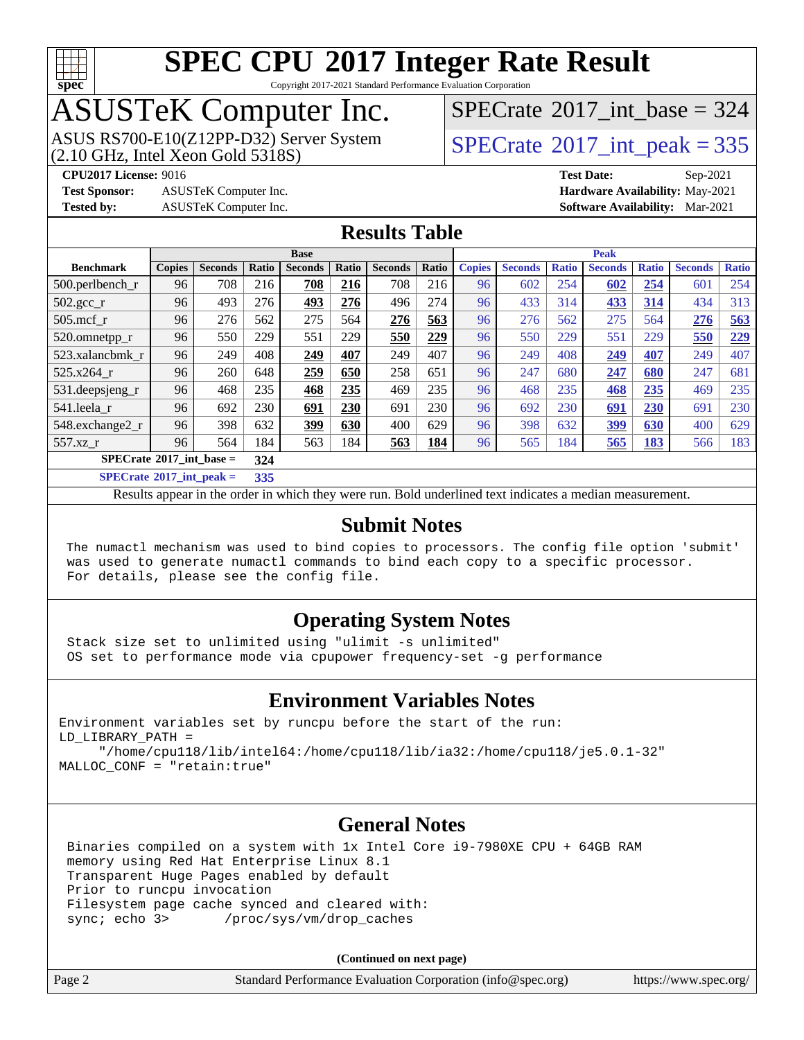

Copyright 2017-2021 Standard Performance Evaluation Corporation

# ASUSTeK Computer Inc.<br>ASUS RS700-E10(Z12PP-D32) Server System

 $(2.10$  GHz, Intel Xeon Gold 5318S)

 $SPECTate@2017_int\_base = 324$ 

 $SPECTate<sup>®</sup>2017_int_p [peak = 335]$ 

**[Test Sponsor:](http://www.spec.org/auto/cpu2017/Docs/result-fields.html#TestSponsor)** ASUSTeK Computer Inc. **[Hardware Availability:](http://www.spec.org/auto/cpu2017/Docs/result-fields.html#HardwareAvailability)** May-2021

**[CPU2017 License:](http://www.spec.org/auto/cpu2017/Docs/result-fields.html#CPU2017License)** 9016 **[Test Date:](http://www.spec.org/auto/cpu2017/Docs/result-fields.html#TestDate)** Sep-2021 **[Tested by:](http://www.spec.org/auto/cpu2017/Docs/result-fields.html#Testedby)** ASUSTeK Computer Inc. **[Software Availability:](http://www.spec.org/auto/cpu2017/Docs/result-fields.html#SoftwareAvailability)** Mar-2021

#### **[Results Table](http://www.spec.org/auto/cpu2017/Docs/result-fields.html#ResultsTable)**

| <b>Base</b>                                       |               |                |       |                |       |                | <b>Peak</b> |               |                |              |                |              |                |              |
|---------------------------------------------------|---------------|----------------|-------|----------------|-------|----------------|-------------|---------------|----------------|--------------|----------------|--------------|----------------|--------------|
| <b>Benchmark</b>                                  | <b>Copies</b> | <b>Seconds</b> | Ratio | <b>Seconds</b> | Ratio | <b>Seconds</b> | Ratio       | <b>Copies</b> | <b>Seconds</b> | <b>Ratio</b> | <b>Seconds</b> | <b>Ratio</b> | <b>Seconds</b> | <b>Ratio</b> |
| $500.$ perlbench_r                                | 96            | 708            | 216   | 708            | 216   | 708            | 216         | 96            | 602            | 254          | 602            | 254          | 601            | 254          |
| 502.gcc_r                                         | 96            | 493            | 276   | 493            | 276   | 496            | 274         | 96            | 433            | 314          | <u>433</u>     | 314          | 434            | 313          |
| $505$ .mcf r                                      | 96            | 276            | 562   | 275            | 564   | 276            | 563         | 96            | 276            | 562          | 275            | 564          | 276            | 563          |
| 520.omnetpp_r                                     | 96            | 550            | 229   | 551            | 229   | 550            | 229         | 96            | 550            | 229          | 551            | 229          | 550            | 229          |
| 523.xalancbmk_r                                   | 96            | 249            | 408   | 249            | 407   | 249            | 407         | 96            | 249            | 408          | <u>249</u>     | <u>407</u>   | 249            | 407          |
| 525.x264 r                                        | 96            | 260            | 648   | 259            | 650   | 258            | 651         | 96            | 247            | 680          | 247            | 680          | 247            | 681          |
| 531.deepsjeng_r                                   | 96            | 468            | 235   | 468            | 235   | 469            | 235         | 96            | 468            | 235          | <b>468</b>     | 235          | 469            | 235          |
| 541.leela r                                       | 96            | 692            | 230   | 691            | 230   | 691            | 230         | 96            | 692            | 230          | <u>691</u>     | <u>230</u>   | 691            | 230          |
| 548.exchange2_r                                   | 96            | 398            | 632   | 399            | 630   | 400            | 629         | 96            | 398            | 632          | 399            | 630          | 400            | 629          |
| 557.xz r                                          | 96            | 564            | 184   | 563            | 184   | 563            | 184         | 96            | 565            | 184          | 565            | 183          | 566            | 183          |
| $SPECrate^{\circ}2017$ int base =<br>324          |               |                |       |                |       |                |             |               |                |              |                |              |                |              |
| $CDFC_{\text{sub-1}} \otimes 0.017$ intervals $=$ |               |                | 225   |                |       |                |             |               |                |              |                |              |                |              |

**[SPECrate](http://www.spec.org/auto/cpu2017/Docs/result-fields.html#SPECrate2017intpeak)[2017\\_int\\_peak =](http://www.spec.org/auto/cpu2017/Docs/result-fields.html#SPECrate2017intpeak) 335**

Results appear in the [order in which they were run](http://www.spec.org/auto/cpu2017/Docs/result-fields.html#RunOrder). Bold underlined text [indicates a median measurement](http://www.spec.org/auto/cpu2017/Docs/result-fields.html#Median).

#### **[Submit Notes](http://www.spec.org/auto/cpu2017/Docs/result-fields.html#SubmitNotes)**

 The numactl mechanism was used to bind copies to processors. The config file option 'submit' was used to generate numactl commands to bind each copy to a specific processor. For details, please see the config file.

#### **[Operating System Notes](http://www.spec.org/auto/cpu2017/Docs/result-fields.html#OperatingSystemNotes)**

 Stack size set to unlimited using "ulimit -s unlimited" OS set to performance mode via cpupower frequency-set -g performance

#### **[Environment Variables Notes](http://www.spec.org/auto/cpu2017/Docs/result-fields.html#EnvironmentVariablesNotes)**

Environment variables set by runcpu before the start of the run: LD\_LIBRARY\_PATH = "/home/cpu118/lib/intel64:/home/cpu118/lib/ia32:/home/cpu118/je5.0.1-32"

MALLOC\_CONF = "retain:true"

#### **[General Notes](http://www.spec.org/auto/cpu2017/Docs/result-fields.html#GeneralNotes)**

 Binaries compiled on a system with 1x Intel Core i9-7980XE CPU + 64GB RAM memory using Red Hat Enterprise Linux 8.1 Transparent Huge Pages enabled by default Prior to runcpu invocation Filesystem page cache synced and cleared with: sync; echo 3> /proc/sys/vm/drop\_caches

**(Continued on next page)**

| Page 2 | Standard Performance Evaluation Corporation (info@spec.org) | https://www.spec.org/ |
|--------|-------------------------------------------------------------|-----------------------|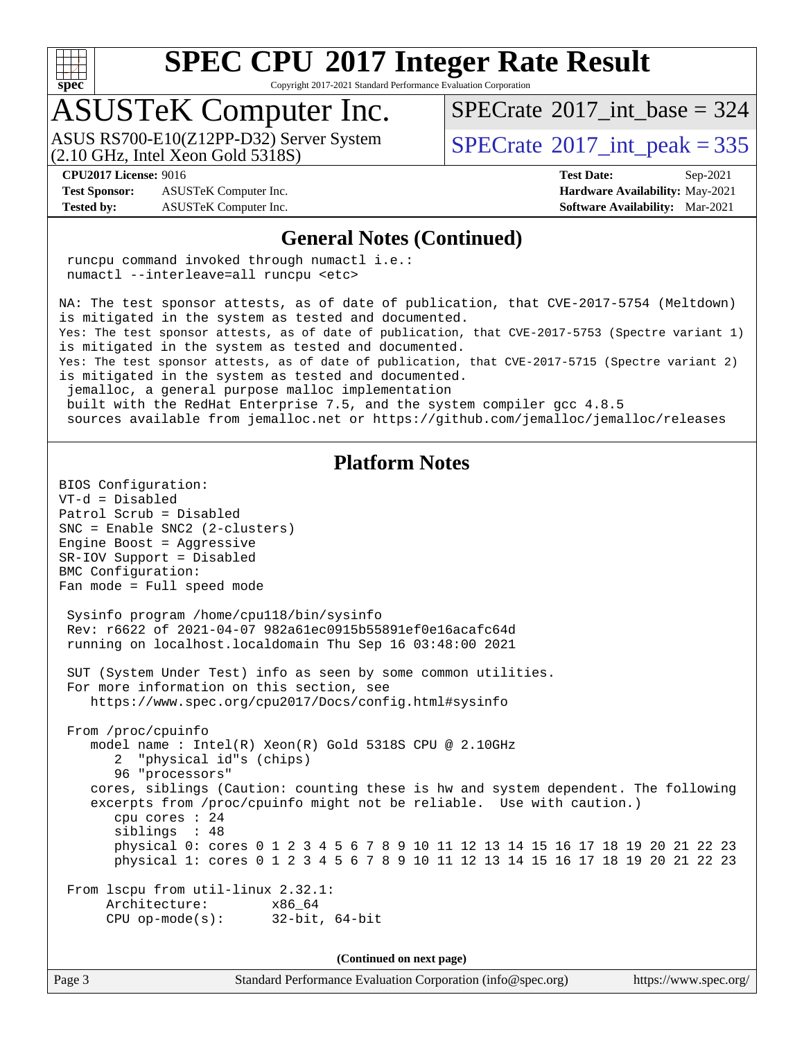

Copyright 2017-2021 Standard Performance Evaluation Corporation

### ASUSTeK Computer Inc.

(2.10 GHz, Intel Xeon Gold 5318S) ASUS RS700-E10(Z12PP-D32) Server System  $\sqrt{\text{SPECrate}^{\otimes}2017\_int\_peak} = 335$  $\sqrt{\text{SPECrate}^{\otimes}2017\_int\_peak} = 335$  $\sqrt{\text{SPECrate}^{\otimes}2017\_int\_peak} = 335$ 

 $SPECTate$ <sup>®</sup>[2017\\_int\\_base =](http://www.spec.org/auto/cpu2017/Docs/result-fields.html#SPECrate2017intbase) 324

**[Test Sponsor:](http://www.spec.org/auto/cpu2017/Docs/result-fields.html#TestSponsor)** ASUSTeK Computer Inc. **[Hardware Availability:](http://www.spec.org/auto/cpu2017/Docs/result-fields.html#HardwareAvailability)** May-2021 **[Tested by:](http://www.spec.org/auto/cpu2017/Docs/result-fields.html#Testedby)** ASUSTeK Computer Inc. **[Software Availability:](http://www.spec.org/auto/cpu2017/Docs/result-fields.html#SoftwareAvailability)** Mar-2021

**[CPU2017 License:](http://www.spec.org/auto/cpu2017/Docs/result-fields.html#CPU2017License)** 9016 **[Test Date:](http://www.spec.org/auto/cpu2017/Docs/result-fields.html#TestDate)** Sep-2021

#### **[General Notes \(Continued\)](http://www.spec.org/auto/cpu2017/Docs/result-fields.html#GeneralNotes)**

 runcpu command invoked through numactl i.e.: numactl --interleave=all runcpu <etc>

NA: The test sponsor attests, as of date of publication, that CVE-2017-5754 (Meltdown) is mitigated in the system as tested and documented. Yes: The test sponsor attests, as of date of publication, that CVE-2017-5753 (Spectre variant 1) is mitigated in the system as tested and documented. Yes: The test sponsor attests, as of date of publication, that CVE-2017-5715 (Spectre variant 2) is mitigated in the system as tested and documented.

jemalloc, a general purpose malloc implementation

built with the RedHat Enterprise 7.5, and the system compiler gcc 4.8.5

sources available from jemalloc.net or<https://github.com/jemalloc/jemalloc/releases>

#### **[Platform Notes](http://www.spec.org/auto/cpu2017/Docs/result-fields.html#PlatformNotes)**

BIOS Configuration: VT-d = Disabled Patrol Scrub = Disabled SNC = Enable SNC2 (2-clusters) Engine Boost = Aggressive SR-IOV Support = Disabled BMC Configuration: Fan mode = Full speed mode Sysinfo program /home/cpu118/bin/sysinfo Rev: r6622 of 2021-04-07 982a61ec0915b55891ef0e16acafc64d running on localhost.localdomain Thu Sep 16 03:48:00 2021 SUT (System Under Test) info as seen by some common utilities. For more information on this section, see <https://www.spec.org/cpu2017/Docs/config.html#sysinfo> From /proc/cpuinfo model name : Intel(R) Xeon(R) Gold 5318S CPU @ 2.10GHz 2 "physical id"s (chips) 96 "processors" cores, siblings (Caution: counting these is hw and system dependent. The following excerpts from /proc/cpuinfo might not be reliable. Use with caution.) cpu cores : 24 siblings : 48 physical 0: cores 0 1 2 3 4 5 6 7 8 9 10 11 12 13 14 15 16 17 18 19 20 21 22 23 physical 1: cores 0 1 2 3 4 5 6 7 8 9 10 11 12 13 14 15 16 17 18 19 20 21 22 23 From lscpu from util-linux 2.32.1: Architecture: x86\_64 CPU op-mode(s): 32-bit, 64-bit

**(Continued on next page)**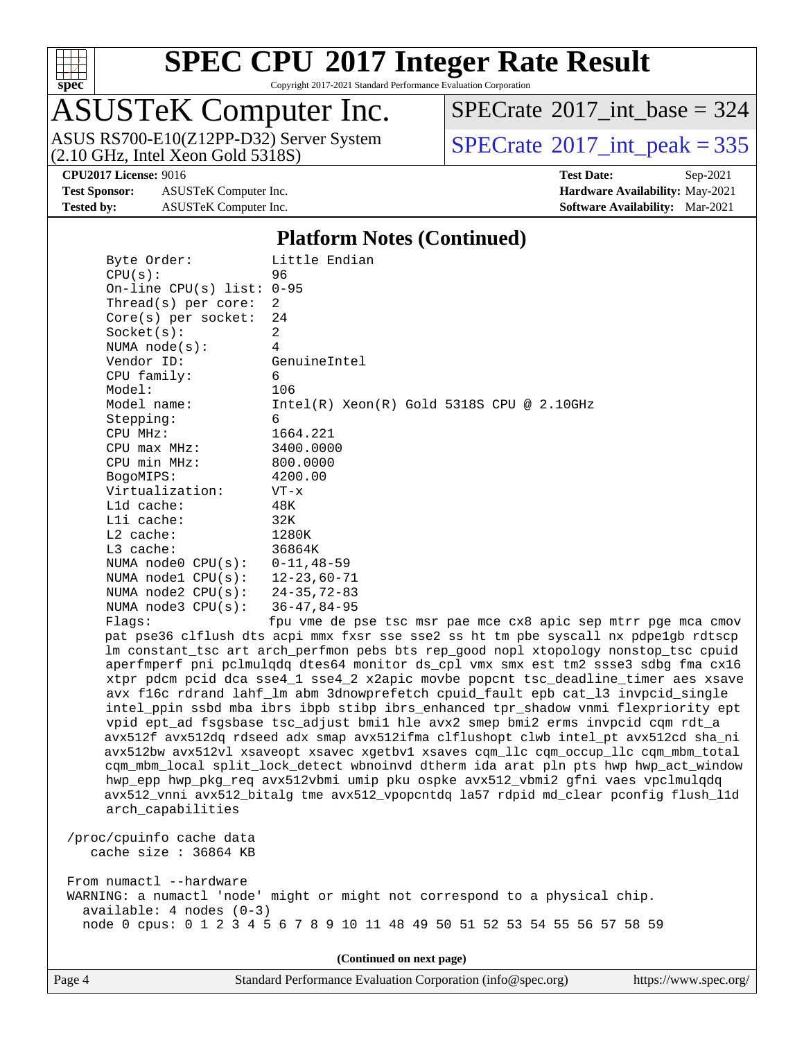

Copyright 2017-2021 Standard Performance Evaluation Corporation

# ASUSTeK Computer Inc.<br>ASUS RS700-E10(Z12PP-D32) Server System

 $(2.10$  GHz, Intel Xeon Gold 5318S)

 $SPECrate$ <sup>®</sup>[2017\\_int\\_base =](http://www.spec.org/auto/cpu2017/Docs/result-fields.html#SPECrate2017intbase) 324

 $SPECTate@2017_int\_peak = 335$ 

**[Test Sponsor:](http://www.spec.org/auto/cpu2017/Docs/result-fields.html#TestSponsor)** ASUSTeK Computer Inc. **[Hardware Availability:](http://www.spec.org/auto/cpu2017/Docs/result-fields.html#HardwareAvailability)** May-2021 **[Tested by:](http://www.spec.org/auto/cpu2017/Docs/result-fields.html#Testedby)** ASUSTeK Computer Inc. **[Software Availability:](http://www.spec.org/auto/cpu2017/Docs/result-fields.html#SoftwareAvailability)** Mar-2021

**[CPU2017 License:](http://www.spec.org/auto/cpu2017/Docs/result-fields.html#CPU2017License)** 9016 **[Test Date:](http://www.spec.org/auto/cpu2017/Docs/result-fields.html#TestDate)** Sep-2021

#### **[Platform Notes \(Continued\)](http://www.spec.org/auto/cpu2017/Docs/result-fields.html#PlatformNotes)**

| Byte Order:                  | Little Endian                                                                        |
|------------------------------|--------------------------------------------------------------------------------------|
| CPU(s):                      | 96                                                                                   |
| On-line CPU $(s)$ list: 0-95 |                                                                                      |
| Thread( $s$ ) per core:      | 2                                                                                    |
| Core(s) per socket:          | 24                                                                                   |
| Socket(s):                   | $\overline{2}$                                                                       |
| NUMA node(s):                | 4                                                                                    |
| Vendor ID:                   | GenuineIntel                                                                         |
| CPU family:                  | 6                                                                                    |
| Model:                       | 106                                                                                  |
| Model name:                  | $Intel(R) Xeon(R) Gold 5318S CPU @ 2.10GHz$                                          |
| Stepping:                    | 6                                                                                    |
| CPU MHz:                     | 1664.221                                                                             |
| $CPU$ max $MHz$ :            | 3400.0000                                                                            |
| CPU min MHz:                 | 800.0000                                                                             |
| BogoMIPS:                    | 4200.00                                                                              |
| Virtualization:              | $VT - x$                                                                             |
| L1d cache:                   | 48K                                                                                  |
| Lli cache:                   | 32K                                                                                  |
| $L2$ cache:                  | 1280K                                                                                |
| $L3$ cache:                  | 36864K                                                                               |
| NUMA $node0$ $CPU(s)$ :      | $0 - 11, 48 - 59$                                                                    |
| NUMA $node1$ $CPU(s):$       | $12 - 23,60 - 71$                                                                    |
| NUMA $node2$ $CPU(s)$ :      | $24 - 35, 72 - 83$                                                                   |
| NUMA $node3$ $CPU(s)$ :      | $36 - 47, 84 - 95$                                                                   |
| Flaqs:                       | fpu vme de pse tsc msr pae mce cx8 apic sep mtrr pge mca cmov                        |
|                              | pat pse36 clflush dts acpi mmx fxsr sse sse2 ss ht tm pbe syscall nx pdpelgb rdtscp  |
|                              | lm constant_tsc art arch_perfmon pebs bts rep_good nopl xtopology nonstop_tsc cpuid  |
|                              | aperfmperf pni pclmulqdq dtes64 monitor ds_cpl vmx smx est tm2 ssse3 sdbg fma cx16   |
|                              | xtpr pdcm pcid dca sse4_1 sse4_2 x2apic movbe popcnt tsc_deadline_timer aes xsave    |
|                              | avx f16c rdrand lahf_lm abm 3dnowprefetch cpuid_fault epb cat_13 invpcid_single      |
|                              | intel_ppin ssbd mba ibrs ibpb stibp ibrs_enhanced tpr_shadow vnmi flexpriority ept   |
|                              | vpid ept_ad fsgsbase tsc_adjust bmil hle avx2 smep bmi2 erms invpcid cqm rdt_a       |
|                              | avx512f avx512dq rdseed adx smap avx512ifma clflushopt clwb intel_pt avx512cd sha_ni |
|                              | avx512bw avx512vl xsaveopt xsavec xgetbvl xsaves cqm_llc cqm_occup_llc cqm_mbm_total |
|                              | cqm_mbm_local split_lock_detect wbnoinvd dtherm ida arat pln pts hwp hwp_act_window  |
|                              | hwp_epp hwp_pkg_req avx512vbmi umip pku ospke avx512_vbmi2 gfni vaes vpclmulqdq      |
|                              | avx512_vnni avx512_bitalg tme avx512_vpopcntdq la57 rdpid md_clear pconfig flush_11d |
| arch_capabilities            |                                                                                      |
| /proc/cpuinfo cache data     |                                                                                      |
| cache size : $36864$ KB      |                                                                                      |
| From numactl --hardware      |                                                                                      |
|                              | WARNING: a numactl 'node' might or might not correspond to a physical chip.          |

**(Continued on next page)**

node 0 cpus: 0 1 2 3 4 5 6 7 8 9 10 11 48 49 50 51 52 53 54 55 56 57 58 59

| https://www.spec.org/ |
|-----------------------|
|-----------------------|

available: 4 nodes (0-3)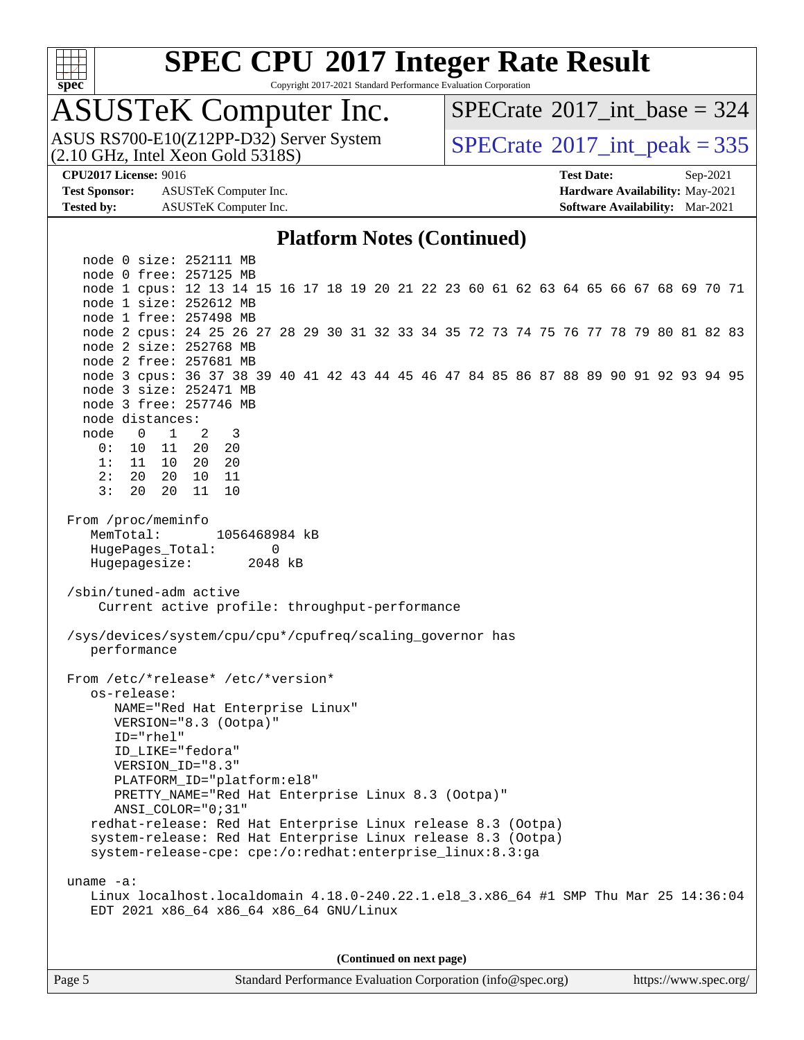

Copyright 2017-2021 Standard Performance Evaluation Corporation

## ASUSTeK Computer Inc.

(2.10 GHz, Intel Xeon Gold 5318S) ASUS RS700-E10(Z12PP-D32) Server System  $SPECrate^{\circ}2017$  $SPECrate^{\circ}2017$ \_int\_peak = 335

 $SPECTate$ <sup>®</sup>[2017\\_int\\_base =](http://www.spec.org/auto/cpu2017/Docs/result-fields.html#SPECrate2017intbase) 324

**[Test Sponsor:](http://www.spec.org/auto/cpu2017/Docs/result-fields.html#TestSponsor)** ASUSTeK Computer Inc. **[Hardware Availability:](http://www.spec.org/auto/cpu2017/Docs/result-fields.html#HardwareAvailability)** May-2021 **[Tested by:](http://www.spec.org/auto/cpu2017/Docs/result-fields.html#Testedby)** ASUSTeK Computer Inc. **[Software Availability:](http://www.spec.org/auto/cpu2017/Docs/result-fields.html#SoftwareAvailability)** Mar-2021

**[CPU2017 License:](http://www.spec.org/auto/cpu2017/Docs/result-fields.html#CPU2017License)** 9016 **[Test Date:](http://www.spec.org/auto/cpu2017/Docs/result-fields.html#TestDate)** Sep-2021

#### **[Platform Notes \(Continued\)](http://www.spec.org/auto/cpu2017/Docs/result-fields.html#PlatformNotes)**

 node 0 size: 252111 MB node 0 free: 257125 MB node 1 cpus: 12 13 14 15 16 17 18 19 20 21 22 23 60 61 62 63 64 65 66 67 68 69 70 71 node 1 size: 252612 MB node 1 free: 257498 MB node 2 cpus: 24 25 26 27 28 29 30 31 32 33 34 35 72 73 74 75 76 77 78 79 80 81 82 83 node 2 size: 252768 MB node 2 free: 257681 MB node 3 cpus: 36 37 38 39 40 41 42 43 44 45 46 47 84 85 86 87 88 89 90 91 92 93 94 95 node 3 size: 252471 MB node 3 free: 257746 MB node distances: node 0 1 2 3 0: 10 11 20 20 1: 11 10 20 20 2: 20 20 10 11 3: 20 20 11 10 From /proc/meminfo MemTotal: 1056468984 kB HugePages\_Total: 0 Hugepagesize: 2048 kB /sbin/tuned-adm active Current active profile: throughput-performance /sys/devices/system/cpu/cpu\*/cpufreq/scaling\_governor has performance From /etc/\*release\* /etc/\*version\* os-release: NAME="Red Hat Enterprise Linux" VERSION="8.3 (Ootpa)" ID="rhel" ID\_LIKE="fedora" VERSION\_ID="8.3" PLATFORM\_ID="platform:el8" PRETTY\_NAME="Red Hat Enterprise Linux 8.3 (Ootpa)" ANSI\_COLOR="0;31" redhat-release: Red Hat Enterprise Linux release 8.3 (Ootpa) system-release: Red Hat Enterprise Linux release 8.3 (Ootpa) system-release-cpe: cpe:/o:redhat:enterprise\_linux:8.3:ga uname -a: Linux localhost.localdomain 4.18.0-240.22.1.el8\_3.x86\_64 #1 SMP Thu Mar 25 14:36:04 EDT 2021 x86\_64 x86\_64 x86\_64 GNU/Linux **(Continued on next page)**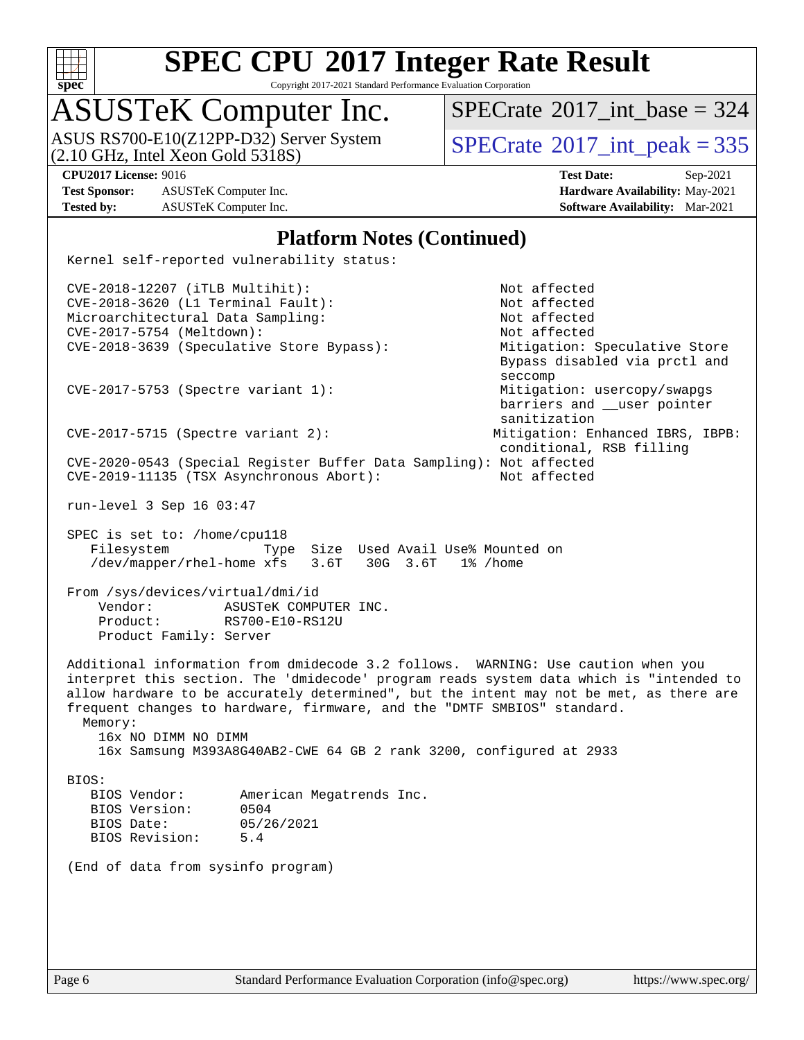

Copyright 2017-2021 Standard Performance Evaluation Corporation

## ASUSTeK Computer Inc.

(2.10 GHz, Intel Xeon Gold 5318S) ASUS RS700-E10(Z12PP-D32) Server System  $SPECrate^{\circ}2017$  $SPECrate^{\circ}2017$ \_int\_peak = 335

 $SPECTate$ <sup>®</sup>[2017\\_int\\_base =](http://www.spec.org/auto/cpu2017/Docs/result-fields.html#SPECrate2017intbase) 324

**[Test Sponsor:](http://www.spec.org/auto/cpu2017/Docs/result-fields.html#TestSponsor)** ASUSTeK Computer Inc. **[Hardware Availability:](http://www.spec.org/auto/cpu2017/Docs/result-fields.html#HardwareAvailability)** May-2021 **[Tested by:](http://www.spec.org/auto/cpu2017/Docs/result-fields.html#Testedby)** ASUSTeK Computer Inc. **[Software Availability:](http://www.spec.org/auto/cpu2017/Docs/result-fields.html#SoftwareAvailability)** Mar-2021

**[CPU2017 License:](http://www.spec.org/auto/cpu2017/Docs/result-fields.html#CPU2017License)** 9016 **[Test Date:](http://www.spec.org/auto/cpu2017/Docs/result-fields.html#TestDate)** Sep-2021

#### **[Platform Notes \(Continued\)](http://www.spec.org/auto/cpu2017/Docs/result-fields.html#PlatformNotes)**

Kernel self-reported vulnerability status:

 CVE-2018-12207 (iTLB Multihit): Not affected CVE-2018-3620 (L1 Terminal Fault): Not affected Microarchitectural Data Sampling: Not affected CVE-2017-5754 (Meltdown): Not affected CVE-2018-3639 (Speculative Store Bypass): Mitigation: Speculative Store Bypass disabled via prctl and seccompany and the contract of the contract of the contract of the second seconds of the contract of the contract of the contract of the contract of the contract of the contract of the contract of the contract of the contr CVE-2017-5753 (Spectre variant 1): Mitigation: usercopy/swapgs barriers and \_\_user pointer sanitization CVE-2017-5715 (Spectre variant 2): Mitigation: Enhanced IBRS, IBPB: conditional, RSB filling CVE-2020-0543 (Special Register Buffer Data Sampling): Not affected CVE-2019-11135 (TSX Asynchronous Abort): Not affected run-level 3 Sep 16 03:47 SPEC is set to: /home/cpu118 Filesystem Type Size Used Avail Use% Mounted on /dev/mapper/rhel-home xfs 3.6T 30G 3.6T 1% /home From /sys/devices/virtual/dmi/id Vendor: ASUSTeK COMPUTER INC. Product: RS700-E10-RS12U Product Family: Server

 Additional information from dmidecode 3.2 follows. WARNING: Use caution when you interpret this section. The 'dmidecode' program reads system data which is "intended to allow hardware to be accurately determined", but the intent may not be met, as there are frequent changes to hardware, firmware, and the "DMTF SMBIOS" standard. Memory:

 16x NO DIMM NO DIMM 16x Samsung M393A8G40AB2-CWE 64 GB 2 rank 3200, configured at 2933

BIOS:

 BIOS Vendor: American Megatrends Inc. BIOS Version: 0504 BIOS Date: 05/26/2021 BIOS Revision: 5.4

(End of data from sysinfo program)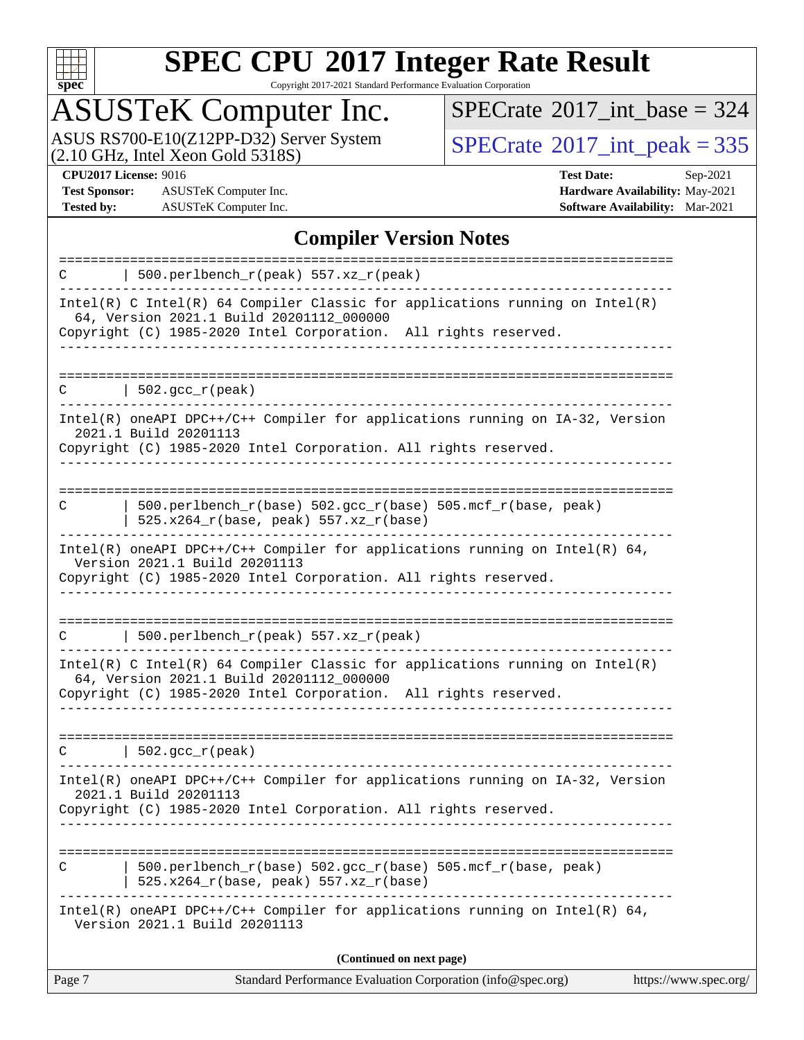

Copyright 2017-2021 Standard Performance Evaluation Corporation

## ASUSTeK Computer Inc.

ASUS RS700-E10(Z12PP-D32) Server System  $(2.10 \text{ GHz}, \text{ Intel Xeon Gold } 5318S)$  [SPECrate](http://www.spec.org/auto/cpu2017/Docs/result-fields.html#SPECrate2017intpeak)®[2017\\_int\\_peak = 3](http://www.spec.org/auto/cpu2017/Docs/result-fields.html#SPECrate2017intpeak)35

 $SPECrate$ <sup>®</sup>[2017\\_int\\_base =](http://www.spec.org/auto/cpu2017/Docs/result-fields.html#SPECrate2017intbase) 324

**[Test Sponsor:](http://www.spec.org/auto/cpu2017/Docs/result-fields.html#TestSponsor)** ASUSTeK Computer Inc. **[Hardware Availability:](http://www.spec.org/auto/cpu2017/Docs/result-fields.html#HardwareAvailability)** May-2021 **[Tested by:](http://www.spec.org/auto/cpu2017/Docs/result-fields.html#Testedby)** ASUSTeK Computer Inc. **[Software Availability:](http://www.spec.org/auto/cpu2017/Docs/result-fields.html#SoftwareAvailability)** Mar-2021

**[CPU2017 License:](http://www.spec.org/auto/cpu2017/Docs/result-fields.html#CPU2017License)** 9016 **[Test Date:](http://www.spec.org/auto/cpu2017/Docs/result-fields.html#TestDate)** Sep-2021

#### **[Compiler Version Notes](http://www.spec.org/auto/cpu2017/Docs/result-fields.html#CompilerVersionNotes)**

| Version 2021.1 Build 20201113                                                                                                                                                                 |  |
|-----------------------------------------------------------------------------------------------------------------------------------------------------------------------------------------------|--|
| Intel(R) oneAPI DPC++/C++ Compiler for applications running on Intel(R) 64,                                                                                                                   |  |
| 500.perlbench_r(base) 502.gcc_r(base) 505.mcf_r(base, peak)<br>525.x264_r(base, peak) 557.xz_r(base)                                                                                          |  |
| 2021.1 Build 20201113<br>Copyright (C) 1985-2020 Intel Corporation. All rights reserved.                                                                                                      |  |
| Intel(R) oneAPI DPC++/C++ Compiler for applications running on IA-32, Version                                                                                                                 |  |
| $\vert$ 502.gcc_r(peak)<br>C                                                                                                                                                                  |  |
| Intel(R) C Intel(R) 64 Compiler Classic for applications running on $Intel(R)$<br>64, Version 2021.1 Build 20201112_000000<br>Copyright (C) 1985-2020 Intel Corporation. All rights reserved. |  |
| 500.perlbench_r(peak) 557.xz_r(peak)<br>C                                                                                                                                                     |  |
| Intel(R) oneAPI DPC++/C++ Compiler for applications running on Intel(R) 64,<br>Version 2021.1 Build 20201113<br>Copyright (C) 1985-2020 Intel Corporation. All rights reserved.               |  |
| 525.x264_r(base, peak) 557.xz_r(base)                                                                                                                                                         |  |
| 500.perlbench_r(base) 502.gcc_r(base) 505.mcf_r(base, peak)<br>C                                                                                                                              |  |
| Intel(R) oneAPI DPC++/C++ Compiler for applications running on IA-32, Version<br>2021.1 Build 20201113<br>Copyright (C) 1985-2020 Intel Corporation. All rights reserved.                     |  |
| $502.\text{gcc\_r}(\text{peak})$<br>С                                                                                                                                                         |  |
|                                                                                                                                                                                               |  |
| Intel(R) C Intel(R) 64 Compiler Classic for applications running on $Intel(R)$<br>64, Version 2021.1 Build 20201112_000000<br>Copyright (C) 1985-2020 Intel Corporation. All rights reserved. |  |
| 500.perlbench_r(peak) 557.xz_r(peak)<br>C                                                                                                                                                     |  |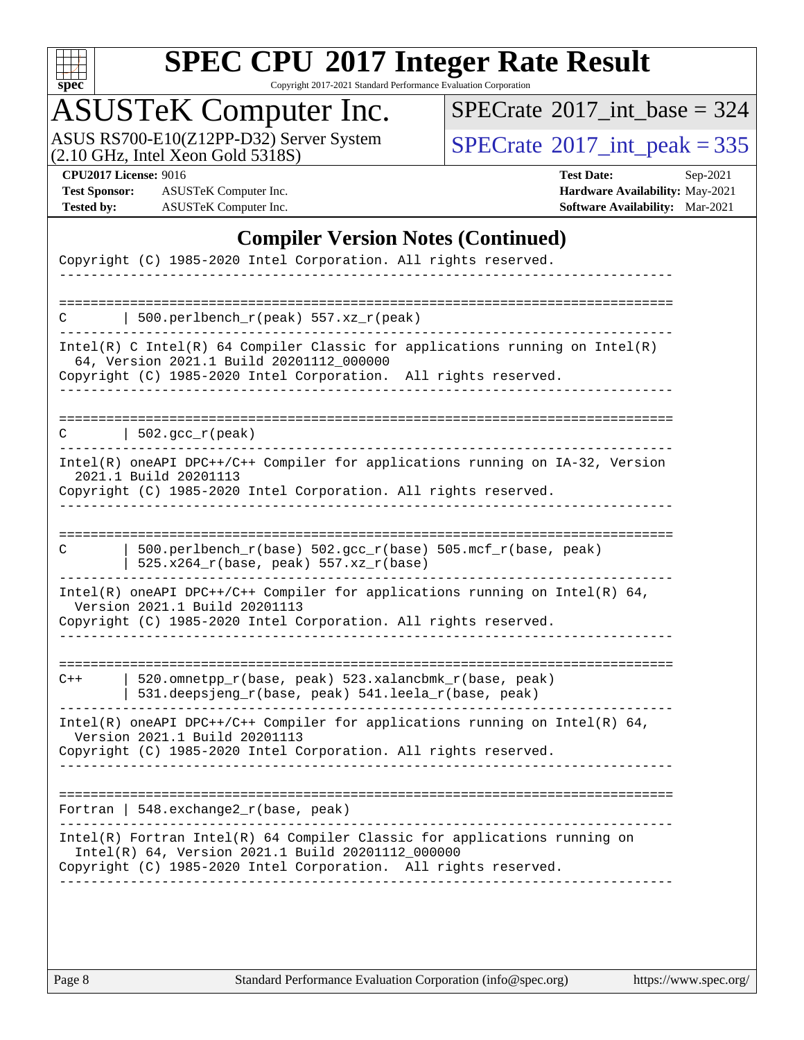

Copyright 2017-2021 Standard Performance Evaluation Corporation

## ASUSTeK Computer Inc.

ASUS RS700-E10(Z12PP-D32) Server System  $(2.10 \text{ GHz}, \text{ Intel Xeon Gold } 5318S)$  [SPECrate](http://www.spec.org/auto/cpu2017/Docs/result-fields.html#SPECrate2017intpeak)®[2017\\_int\\_peak = 3](http://www.spec.org/auto/cpu2017/Docs/result-fields.html#SPECrate2017intpeak)35

 $SPECrate$ <sup>®</sup>[2017\\_int\\_base =](http://www.spec.org/auto/cpu2017/Docs/result-fields.html#SPECrate2017intbase) 324

**[Test Sponsor:](http://www.spec.org/auto/cpu2017/Docs/result-fields.html#TestSponsor)** ASUSTeK Computer Inc. **[Hardware Availability:](http://www.spec.org/auto/cpu2017/Docs/result-fields.html#HardwareAvailability)** May-2021 **[Tested by:](http://www.spec.org/auto/cpu2017/Docs/result-fields.html#Testedby)** ASUSTeK Computer Inc. **[Software Availability:](http://www.spec.org/auto/cpu2017/Docs/result-fields.html#SoftwareAvailability)** Mar-2021

**[CPU2017 License:](http://www.spec.org/auto/cpu2017/Docs/result-fields.html#CPU2017License)** 9016 **[Test Date:](http://www.spec.org/auto/cpu2017/Docs/result-fields.html#TestDate)** Sep-2021

#### **[Compiler Version Notes \(Continued\)](http://www.spec.org/auto/cpu2017/Docs/result-fields.html#CompilerVersionNotes)**

| Copyright (C) 1985-2020 Intel Corporation. All rights reserved.                                                                                                                                   |
|---------------------------------------------------------------------------------------------------------------------------------------------------------------------------------------------------|
|                                                                                                                                                                                                   |
| 500.perlbench_r(peak) 557.xz_r(peak)<br>◠                                                                                                                                                         |
| Intel(R) C Intel(R) 64 Compiler Classic for applications running on Intel(R)<br>64, Version 2021.1 Build 20201112_000000<br>Copyright (C) 1985-2020 Intel Corporation. All rights reserved.       |
| 502.gcc_r(peak)<br>C                                                                                                                                                                              |
| Intel(R) oneAPI DPC++/C++ Compiler for applications running on IA-32, Version<br>2021.1 Build 20201113<br>Copyright (C) 1985-2020 Intel Corporation. All rights reserved.                         |
| -------------------------------<br>500.perlbench_r(base) 502.gcc_r(base) 505.mcf_r(base, peak)<br>C<br>525.x264_r(base, peak) 557.xz_r(base)                                                      |
| Intel(R) oneAPI DPC++/C++ Compiler for applications running on Intel(R) 64,<br>Version 2021.1 Build 20201113<br>Copyright (C) 1985-2020 Intel Corporation. All rights reserved.                   |
| 520.omnetpp_r(base, peak) 523.xalancbmk_r(base, peak)<br>$C++$<br>531.deepsjeng_r(base, peak) 541.leela_r(base, peak)                                                                             |
| Intel(R) oneAPI DPC++/C++ Compiler for applications running on Intel(R) 64,<br>Version 2021.1 Build 20201113<br>Copyright (C) 1985-2020 Intel Corporation. All rights reserved.                   |
| Fortran   548. exchange2_r(base, peak)                                                                                                                                                            |
| Intel(R) Fortran Intel(R) 64 Compiler Classic for applications running on<br>Intel(R) 64, Version 2021.1 Build 20201112_000000<br>Copyright (C) 1985-2020 Intel Corporation. All rights reserved. |
|                                                                                                                                                                                                   |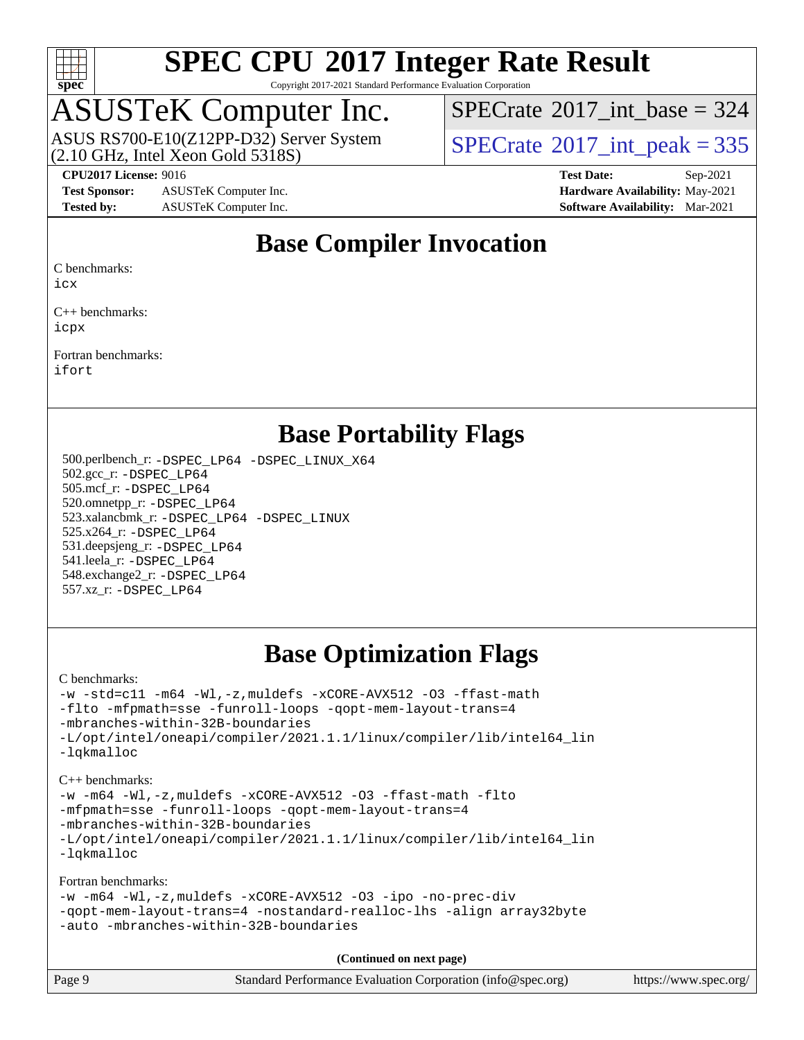

Copyright 2017-2021 Standard Performance Evaluation Corporation

### ASUSTeK Computer Inc.

 $(2.10$  GHz, Intel Xeon Gold 5318S) ASUS RS700-E10(Z12PP-D32) Server System  $SPECrate^{\circ}2017$  $SPECrate^{\circ}2017$ \_int\_peak = 335

 $SPECTate@2017_int\_base = 324$ 

**[Test Sponsor:](http://www.spec.org/auto/cpu2017/Docs/result-fields.html#TestSponsor)** ASUSTeK Computer Inc. **[Hardware Availability:](http://www.spec.org/auto/cpu2017/Docs/result-fields.html#HardwareAvailability)** May-2021 **[Tested by:](http://www.spec.org/auto/cpu2017/Docs/result-fields.html#Testedby)** ASUSTeK Computer Inc. **[Software Availability:](http://www.spec.org/auto/cpu2017/Docs/result-fields.html#SoftwareAvailability)** Mar-2021

**[CPU2017 License:](http://www.spec.org/auto/cpu2017/Docs/result-fields.html#CPU2017License)** 9016 **[Test Date:](http://www.spec.org/auto/cpu2017/Docs/result-fields.html#TestDate)** Sep-2021

#### **[Base Compiler Invocation](http://www.spec.org/auto/cpu2017/Docs/result-fields.html#BaseCompilerInvocation)**

[C benchmarks](http://www.spec.org/auto/cpu2017/Docs/result-fields.html#Cbenchmarks):

[icx](http://www.spec.org/cpu2017/results/res2021q4/cpu2017-20210926-29537.flags.html#user_CCbase_intel_icx_fe2d28d19ae2a5db7c42fe0f2a2aed77cb715edd4aeb23434404a8be6683fe239869bb6ca8154ca98265c2e3b9226a719a0efe2953a4a7018c379b7010ccf087)

[C++ benchmarks:](http://www.spec.org/auto/cpu2017/Docs/result-fields.html#CXXbenchmarks) [icpx](http://www.spec.org/cpu2017/results/res2021q4/cpu2017-20210926-29537.flags.html#user_CXXbase_intel_icpx_1e918ed14c436bf4b9b7c8bcdd51d4539fc71b3df010bd1e9f8732d9c34c2b2914e48204a846820f3c0ebb4095dea797a5c30b458ac0b6dffac65d78f781f5ca)

[Fortran benchmarks](http://www.spec.org/auto/cpu2017/Docs/result-fields.html#Fortranbenchmarks): [ifort](http://www.spec.org/cpu2017/results/res2021q4/cpu2017-20210926-29537.flags.html#user_FCbase_intel_ifort_8111460550e3ca792625aed983ce982f94888b8b503583aa7ba2b8303487b4d8a21a13e7191a45c5fd58ff318f48f9492884d4413fa793fd88dd292cad7027ca)

#### **[Base Portability Flags](http://www.spec.org/auto/cpu2017/Docs/result-fields.html#BasePortabilityFlags)**

 500.perlbench\_r: [-DSPEC\\_LP64](http://www.spec.org/cpu2017/results/res2021q4/cpu2017-20210926-29537.flags.html#b500.perlbench_r_basePORTABILITY_DSPEC_LP64) [-DSPEC\\_LINUX\\_X64](http://www.spec.org/cpu2017/results/res2021q4/cpu2017-20210926-29537.flags.html#b500.perlbench_r_baseCPORTABILITY_DSPEC_LINUX_X64) 502.gcc\_r: [-DSPEC\\_LP64](http://www.spec.org/cpu2017/results/res2021q4/cpu2017-20210926-29537.flags.html#suite_basePORTABILITY502_gcc_r_DSPEC_LP64) 505.mcf\_r: [-DSPEC\\_LP64](http://www.spec.org/cpu2017/results/res2021q4/cpu2017-20210926-29537.flags.html#suite_basePORTABILITY505_mcf_r_DSPEC_LP64) 520.omnetpp\_r: [-DSPEC\\_LP64](http://www.spec.org/cpu2017/results/res2021q4/cpu2017-20210926-29537.flags.html#suite_basePORTABILITY520_omnetpp_r_DSPEC_LP64) 523.xalancbmk\_r: [-DSPEC\\_LP64](http://www.spec.org/cpu2017/results/res2021q4/cpu2017-20210926-29537.flags.html#suite_basePORTABILITY523_xalancbmk_r_DSPEC_LP64) [-DSPEC\\_LINUX](http://www.spec.org/cpu2017/results/res2021q4/cpu2017-20210926-29537.flags.html#b523.xalancbmk_r_baseCXXPORTABILITY_DSPEC_LINUX) 525.x264\_r: [-DSPEC\\_LP64](http://www.spec.org/cpu2017/results/res2021q4/cpu2017-20210926-29537.flags.html#suite_basePORTABILITY525_x264_r_DSPEC_LP64) 531.deepsjeng\_r: [-DSPEC\\_LP64](http://www.spec.org/cpu2017/results/res2021q4/cpu2017-20210926-29537.flags.html#suite_basePORTABILITY531_deepsjeng_r_DSPEC_LP64) 541.leela\_r: [-DSPEC\\_LP64](http://www.spec.org/cpu2017/results/res2021q4/cpu2017-20210926-29537.flags.html#suite_basePORTABILITY541_leela_r_DSPEC_LP64) 548.exchange2\_r: [-DSPEC\\_LP64](http://www.spec.org/cpu2017/results/res2021q4/cpu2017-20210926-29537.flags.html#suite_basePORTABILITY548_exchange2_r_DSPEC_LP64) 557.xz\_r: [-DSPEC\\_LP64](http://www.spec.org/cpu2017/results/res2021q4/cpu2017-20210926-29537.flags.html#suite_basePORTABILITY557_xz_r_DSPEC_LP64)

#### **[Base Optimization Flags](http://www.spec.org/auto/cpu2017/Docs/result-fields.html#BaseOptimizationFlags)**

[C benchmarks](http://www.spec.org/auto/cpu2017/Docs/result-fields.html#Cbenchmarks):

```
-w -std=c11 -m64 -Wl,-z,muldefs -xCORE-AVX512 -O3 -ffast-math
-flto -mfpmath=sse -funroll-loops -qopt-mem-layout-trans=4
-mbranches-within-32B-boundaries
-L/opt/intel/oneapi/compiler/2021.1.1/linux/compiler/lib/intel64_lin
-lqkmalloc
```
[C++ benchmarks:](http://www.spec.org/auto/cpu2017/Docs/result-fields.html#CXXbenchmarks) [-w](http://www.spec.org/cpu2017/results/res2021q4/cpu2017-20210926-29537.flags.html#user_CXXbase_supress_warning_66fb2c4e5c1dd10f38bdd29623979399e5ae75ae6e5453792d82ef66afed381df4a8602f92cac8d2ea0fffa7b93b4b1ccb9ecad4af01c9b2fe338b2082ae3859) [-m64](http://www.spec.org/cpu2017/results/res2021q4/cpu2017-20210926-29537.flags.html#user_CXXbase_m64-icc) [-Wl,-z,muldefs](http://www.spec.org/cpu2017/results/res2021q4/cpu2017-20210926-29537.flags.html#user_CXXbase_link_force_multiple1_b4cbdb97b34bdee9ceefcfe54f4c8ea74255f0b02a4b23e853cdb0e18eb4525ac79b5a88067c842dd0ee6996c24547a27a4b99331201badda8798ef8a743f577) [-xCORE-AVX512](http://www.spec.org/cpu2017/results/res2021q4/cpu2017-20210926-29537.flags.html#user_CXXbase_f-xCORE-AVX512) [-O3](http://www.spec.org/cpu2017/results/res2021q4/cpu2017-20210926-29537.flags.html#user_CXXbase_f-O3) [-ffast-math](http://www.spec.org/cpu2017/results/res2021q4/cpu2017-20210926-29537.flags.html#user_CXXbase_f-ffast-math) [-flto](http://www.spec.org/cpu2017/results/res2021q4/cpu2017-20210926-29537.flags.html#user_CXXbase_f-flto) [-mfpmath=sse](http://www.spec.org/cpu2017/results/res2021q4/cpu2017-20210926-29537.flags.html#user_CXXbase_f-mfpmath_70eb8fac26bde974f8ab713bc9086c5621c0b8d2f6c86f38af0bd7062540daf19db5f3a066d8c6684be05d84c9b6322eb3b5be6619d967835195b93d6c02afa1) [-funroll-loops](http://www.spec.org/cpu2017/results/res2021q4/cpu2017-20210926-29537.flags.html#user_CXXbase_f-funroll-loops) [-qopt-mem-layout-trans=4](http://www.spec.org/cpu2017/results/res2021q4/cpu2017-20210926-29537.flags.html#user_CXXbase_f-qopt-mem-layout-trans_fa39e755916c150a61361b7846f310bcdf6f04e385ef281cadf3647acec3f0ae266d1a1d22d972a7087a248fd4e6ca390a3634700869573d231a252c784941a8) [-mbranches-within-32B-boundaries](http://www.spec.org/cpu2017/results/res2021q4/cpu2017-20210926-29537.flags.html#user_CXXbase_f-mbranches-within-32B-boundaries) [-L/opt/intel/oneapi/compiler/2021.1.1/linux/compiler/lib/intel64\\_lin](http://www.spec.org/cpu2017/results/res2021q4/cpu2017-20210926-29537.flags.html#user_CXXbase_linkpath_f3ac96bc44eb3356c66274e76f12ce7989555e6431aa425d8bf37251b5a0a8e4f20d385a762420f3e0cdf627bb737484454017ddfa67f55a42ce17058c8be12d) [-lqkmalloc](http://www.spec.org/cpu2017/results/res2021q4/cpu2017-20210926-29537.flags.html#user_CXXbase_qkmalloc_link_lib_79a818439969f771c6bc311cfd333c00fc099dad35c030f5aab9dda831713d2015205805422f83de8875488a2991c0a156aaa600e1f9138f8fc37004abc96dc5)

[Fortran benchmarks](http://www.spec.org/auto/cpu2017/Docs/result-fields.html#Fortranbenchmarks):

```
-w -m64 -Wl,-z,muldefs -xCORE-AVX512 -O3 -ipo -no-prec-div
-qopt-mem-layout-trans=4 -nostandard-realloc-lhs -align array32byte
-auto -mbranches-within-32B-boundaries
```
**(Continued on next page)**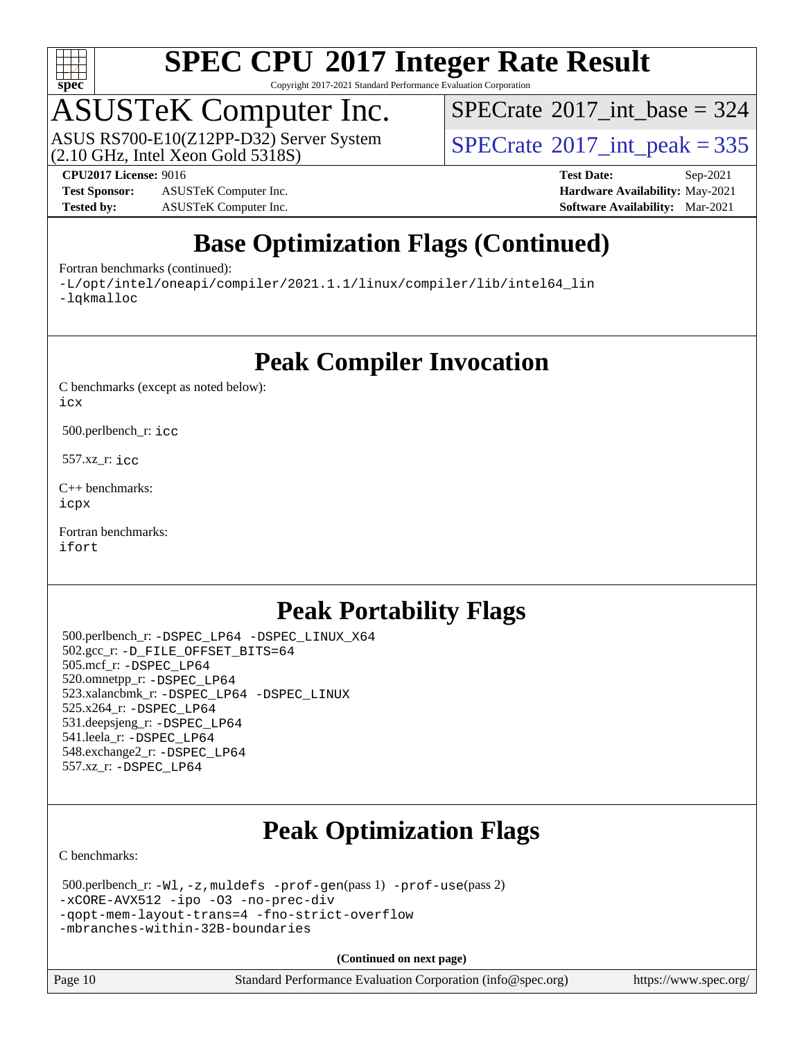

Copyright 2017-2021 Standard Performance Evaluation Corporation

### ASUSTeK Computer Inc.

(2.10 GHz, Intel Xeon Gold 5318S) ASUS RS700-E10(Z12PP-D32) Server System  $SPECrate^{\circ}2017$  $SPECrate^{\circ}2017$ \_int\_peak = 335

 $SPECTate$ <sup>®</sup>[2017\\_int\\_base =](http://www.spec.org/auto/cpu2017/Docs/result-fields.html#SPECrate2017intbase) 324

**[Test Sponsor:](http://www.spec.org/auto/cpu2017/Docs/result-fields.html#TestSponsor)** ASUSTeK Computer Inc. **[Hardware Availability:](http://www.spec.org/auto/cpu2017/Docs/result-fields.html#HardwareAvailability)** May-2021 **[Tested by:](http://www.spec.org/auto/cpu2017/Docs/result-fields.html#Testedby)** ASUSTeK Computer Inc. **[Software Availability:](http://www.spec.org/auto/cpu2017/Docs/result-fields.html#SoftwareAvailability)** Mar-2021

**[CPU2017 License:](http://www.spec.org/auto/cpu2017/Docs/result-fields.html#CPU2017License)** 9016 **[Test Date:](http://www.spec.org/auto/cpu2017/Docs/result-fields.html#TestDate)** Sep-2021

#### **[Base Optimization Flags \(Continued\)](http://www.spec.org/auto/cpu2017/Docs/result-fields.html#BaseOptimizationFlags)**

[Fortran benchmarks](http://www.spec.org/auto/cpu2017/Docs/result-fields.html#Fortranbenchmarks) (continued):

[-L/opt/intel/oneapi/compiler/2021.1.1/linux/compiler/lib/intel64\\_lin](http://www.spec.org/cpu2017/results/res2021q4/cpu2017-20210926-29537.flags.html#user_FCbase_linkpath_f3ac96bc44eb3356c66274e76f12ce7989555e6431aa425d8bf37251b5a0a8e4f20d385a762420f3e0cdf627bb737484454017ddfa67f55a42ce17058c8be12d) [-lqkmalloc](http://www.spec.org/cpu2017/results/res2021q4/cpu2017-20210926-29537.flags.html#user_FCbase_qkmalloc_link_lib_79a818439969f771c6bc311cfd333c00fc099dad35c030f5aab9dda831713d2015205805422f83de8875488a2991c0a156aaa600e1f9138f8fc37004abc96dc5)

**[Peak Compiler Invocation](http://www.spec.org/auto/cpu2017/Docs/result-fields.html#PeakCompilerInvocation)**

[C benchmarks \(except as noted below\)](http://www.spec.org/auto/cpu2017/Docs/result-fields.html#Cbenchmarksexceptasnotedbelow): [icx](http://www.spec.org/cpu2017/results/res2021q4/cpu2017-20210926-29537.flags.html#user_CCpeak_intel_icx_fe2d28d19ae2a5db7c42fe0f2a2aed77cb715edd4aeb23434404a8be6683fe239869bb6ca8154ca98265c2e3b9226a719a0efe2953a4a7018c379b7010ccf087)

500.perlbench\_r: [icc](http://www.spec.org/cpu2017/results/res2021q4/cpu2017-20210926-29537.flags.html#user_peakCCLD500_perlbench_r_intel_icc_66fc1ee009f7361af1fbd72ca7dcefbb700085f36577c54f309893dd4ec40d12360134090235512931783d35fd58c0460139e722d5067c5574d8eaf2b3e37e92)

557.xz\_r: [icc](http://www.spec.org/cpu2017/results/res2021q4/cpu2017-20210926-29537.flags.html#user_peakCCLD557_xz_r_intel_icc_66fc1ee009f7361af1fbd72ca7dcefbb700085f36577c54f309893dd4ec40d12360134090235512931783d35fd58c0460139e722d5067c5574d8eaf2b3e37e92)

[C++ benchmarks:](http://www.spec.org/auto/cpu2017/Docs/result-fields.html#CXXbenchmarks) [icpx](http://www.spec.org/cpu2017/results/res2021q4/cpu2017-20210926-29537.flags.html#user_CXXpeak_intel_icpx_1e918ed14c436bf4b9b7c8bcdd51d4539fc71b3df010bd1e9f8732d9c34c2b2914e48204a846820f3c0ebb4095dea797a5c30b458ac0b6dffac65d78f781f5ca)

[Fortran benchmarks](http://www.spec.org/auto/cpu2017/Docs/result-fields.html#Fortranbenchmarks): [ifort](http://www.spec.org/cpu2017/results/res2021q4/cpu2017-20210926-29537.flags.html#user_FCpeak_intel_ifort_8111460550e3ca792625aed983ce982f94888b8b503583aa7ba2b8303487b4d8a21a13e7191a45c5fd58ff318f48f9492884d4413fa793fd88dd292cad7027ca)

#### **[Peak Portability Flags](http://www.spec.org/auto/cpu2017/Docs/result-fields.html#PeakPortabilityFlags)**

 500.perlbench\_r: [-DSPEC\\_LP64](http://www.spec.org/cpu2017/results/res2021q4/cpu2017-20210926-29537.flags.html#b500.perlbench_r_peakPORTABILITY_DSPEC_LP64) [-DSPEC\\_LINUX\\_X64](http://www.spec.org/cpu2017/results/res2021q4/cpu2017-20210926-29537.flags.html#b500.perlbench_r_peakCPORTABILITY_DSPEC_LINUX_X64) 502.gcc\_r: [-D\\_FILE\\_OFFSET\\_BITS=64](http://www.spec.org/cpu2017/results/res2021q4/cpu2017-20210926-29537.flags.html#user_peakPORTABILITY502_gcc_r_file_offset_bits_64_5ae949a99b284ddf4e95728d47cb0843d81b2eb0e18bdfe74bbf0f61d0b064f4bda2f10ea5eb90e1dcab0e84dbc592acfc5018bc955c18609f94ddb8d550002c) 505.mcf\_r: [-DSPEC\\_LP64](http://www.spec.org/cpu2017/results/res2021q4/cpu2017-20210926-29537.flags.html#suite_peakPORTABILITY505_mcf_r_DSPEC_LP64) 520.omnetpp\_r: [-DSPEC\\_LP64](http://www.spec.org/cpu2017/results/res2021q4/cpu2017-20210926-29537.flags.html#suite_peakPORTABILITY520_omnetpp_r_DSPEC_LP64) 523.xalancbmk\_r: [-DSPEC\\_LP64](http://www.spec.org/cpu2017/results/res2021q4/cpu2017-20210926-29537.flags.html#suite_peakPORTABILITY523_xalancbmk_r_DSPEC_LP64) [-DSPEC\\_LINUX](http://www.spec.org/cpu2017/results/res2021q4/cpu2017-20210926-29537.flags.html#b523.xalancbmk_r_peakCXXPORTABILITY_DSPEC_LINUX) 525.x264\_r: [-DSPEC\\_LP64](http://www.spec.org/cpu2017/results/res2021q4/cpu2017-20210926-29537.flags.html#suite_peakPORTABILITY525_x264_r_DSPEC_LP64) 531.deepsjeng\_r: [-DSPEC\\_LP64](http://www.spec.org/cpu2017/results/res2021q4/cpu2017-20210926-29537.flags.html#suite_peakPORTABILITY531_deepsjeng_r_DSPEC_LP64) 541.leela\_r: [-DSPEC\\_LP64](http://www.spec.org/cpu2017/results/res2021q4/cpu2017-20210926-29537.flags.html#suite_peakPORTABILITY541_leela_r_DSPEC_LP64) 548.exchange2\_r: [-DSPEC\\_LP64](http://www.spec.org/cpu2017/results/res2021q4/cpu2017-20210926-29537.flags.html#suite_peakPORTABILITY548_exchange2_r_DSPEC_LP64) 557.xz\_r: [-DSPEC\\_LP64](http://www.spec.org/cpu2017/results/res2021q4/cpu2017-20210926-29537.flags.html#suite_peakPORTABILITY557_xz_r_DSPEC_LP64)

#### **[Peak Optimization Flags](http://www.spec.org/auto/cpu2017/Docs/result-fields.html#PeakOptimizationFlags)**

[C benchmarks](http://www.spec.org/auto/cpu2017/Docs/result-fields.html#Cbenchmarks):

```
 500.perlbench_r: -Wl,-z,muldefs -prof-gen(pass 1) -prof-use(pass 2)
-xCORE-AVX512 -ipo -O3 -no-prec-div
-qopt-mem-layout-trans=4 -fno-strict-overflow
-mbranches-within-32B-boundaries
```
**(Continued on next page)**

Page 10 Standard Performance Evaluation Corporation [\(info@spec.org\)](mailto:info@spec.org) <https://www.spec.org/>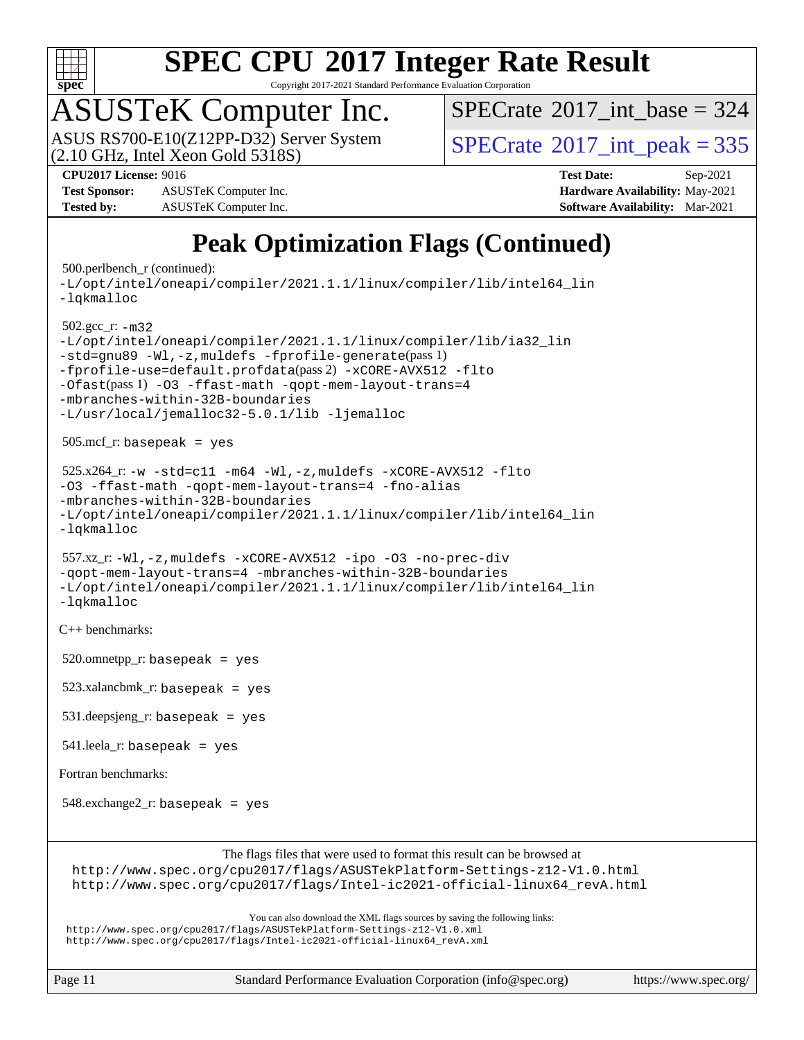

Copyright 2017-2021 Standard Performance Evaluation Corporation

## ASUSTeK Computer Inc.

 $(2.10$  GHz, Intel Xeon Gold 5318S) ASUS RS700-E10(Z12PP-D32) Server System  $SPECrate^{\circ}2017$  $SPECrate^{\circ}2017$ \_int\_peak = 335

 $SPECTate$ <sup>®</sup>[2017\\_int\\_base =](http://www.spec.org/auto/cpu2017/Docs/result-fields.html#SPECrate2017intbase) 324

**[Test Sponsor:](http://www.spec.org/auto/cpu2017/Docs/result-fields.html#TestSponsor)** ASUSTeK Computer Inc. **[Hardware Availability:](http://www.spec.org/auto/cpu2017/Docs/result-fields.html#HardwareAvailability)** May-2021 **[Tested by:](http://www.spec.org/auto/cpu2017/Docs/result-fields.html#Testedby)** ASUSTeK Computer Inc. **[Software Availability:](http://www.spec.org/auto/cpu2017/Docs/result-fields.html#SoftwareAvailability)** Mar-2021

**[CPU2017 License:](http://www.spec.org/auto/cpu2017/Docs/result-fields.html#CPU2017License)** 9016 **[Test Date:](http://www.spec.org/auto/cpu2017/Docs/result-fields.html#TestDate)** Sep-2021

#### **[Peak Optimization Flags \(Continued\)](http://www.spec.org/auto/cpu2017/Docs/result-fields.html#PeakOptimizationFlags)**

```
 500.perlbench_r (continued):
-L/opt/intel/oneapi/compiler/2021.1.1/linux/compiler/lib/intel64_lin
-lqkmalloc
 502.gcc_r: -m32
-L/opt/intel/oneapi/compiler/2021.1.1/linux/compiler/lib/ia32_lin
-std=gnu89 -Wl,-z,muldefs -fprofile-generate(pass 1)
-fprofile-use=default.profdata(pass 2) -xCORE-AVX512 -flto
-Ofast(pass 1) -O3 -ffast-math -qopt-mem-layout-trans=4
-mbranches-within-32B-boundaries
-L/usr/local/jemalloc32-5.0.1/lib -ljemalloc
 505.mcf_r: basepeak = yes
525.x264-w-std=c11-m64-Wl,-z,muldefs-xCORE-AVX512-flto
-O3 -ffast-math -qopt-mem-layout-trans=4 -fno-alias
-mbranches-within-32B-boundaries
-L/opt/intel/oneapi/compiler/2021.1.1/linux/compiler/lib/intel64_lin
-lqkmalloc
 557.xz_r: -Wl,-z,muldefs -xCORE-AVX512 -ipo -O3 -no-prec-div
-qopt-mem-layout-trans=4 -mbranches-within-32B-boundaries
-L/opt/intel/oneapi/compiler/2021.1.1/linux/compiler/lib/intel64_lin
-lqkmalloc
C++ benchmarks: 
520.omnetpp_r: basepeak = yes
 523.xalancbmk_r: basepeak = yes
 531.deepsjeng_r: basepeak = yes
 541.leela_r: basepeak = yes
Fortran benchmarks: 
 548.exchange2_r: basepeak = yes
                       The flags files that were used to format this result can be browsed at
 http://www.spec.org/cpu2017/flags/ASUSTekPlatform-Settings-z12-V1.0.html
 http://www.spec.org/cpu2017/flags/Intel-ic2021-official-linux64_revA.html
                           You can also download the XML flags sources by saving the following links:
http://www.spec.org/cpu2017/flags/ASUSTekPlatform-Settings-z12-V1.0.xml
http://www.spec.org/cpu2017/flags/Intel-ic2021-official-linux64_revA.xml
```